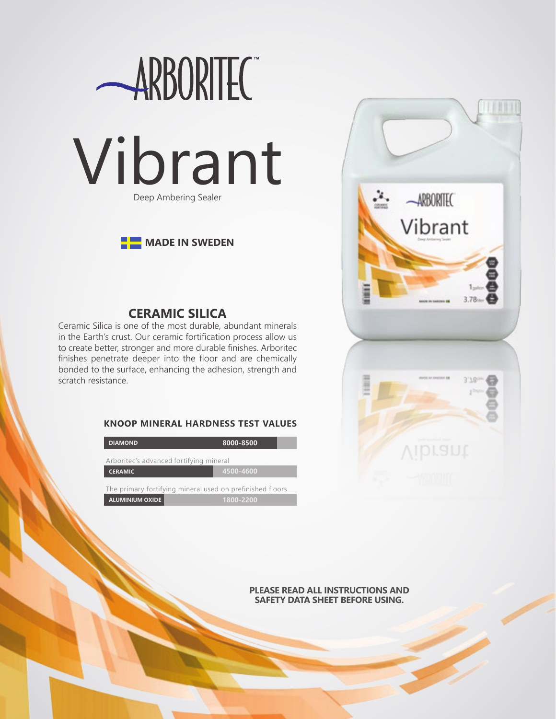

# **MADE IN SWEDEN**

# **CERAMIC SILICA**

Ceramic Silica is one of the most durable, abundant minerals in the Earth's crust. Our ceramic fortification process allow us to create better, stronger and more durable finishes. Arboritec finishes penetrate deeper into the floor and are chemically bonded to the surface, enhancing the adhesion, strength and scratch resistance.

### **KNOOP MINERAL HARDNESS TEST VALUES**

| <b>DIAMOND</b>                                            | 8000-8500 |
|-----------------------------------------------------------|-----------|
| Arboritec's advanced fortifying mineral                   |           |
| <b>CERAMIC</b>                                            | 4500-4600 |
| The primary fortifying mineral used on prefinished floors |           |
| <b>ALUMINIUM OXIDE</b>                                    | 1800-2200 |



#### **PLEASE READ ALL INSTRUCTIONS AND SAFETY DATA SHEET BEFORE USING.**